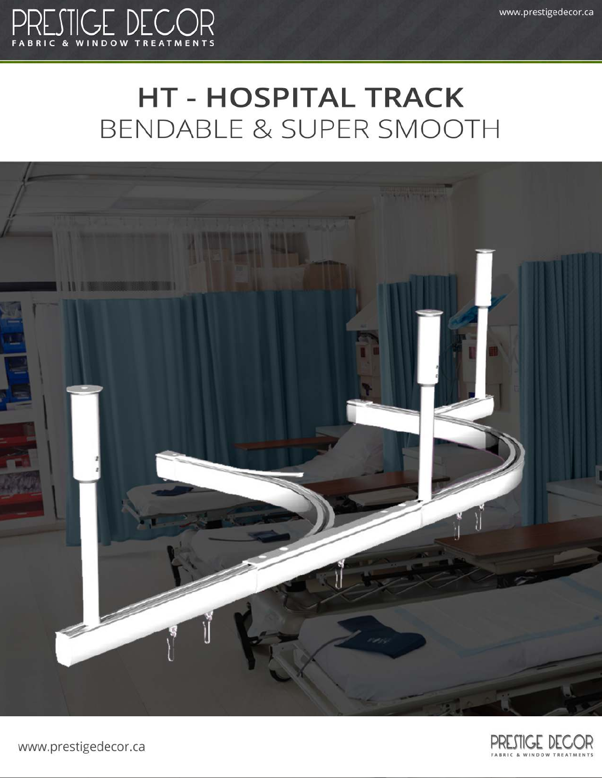

## **HT - HOSPITAL TRACK** BENDABLE & SUPER SMOOTH





www.prestigedecor.ca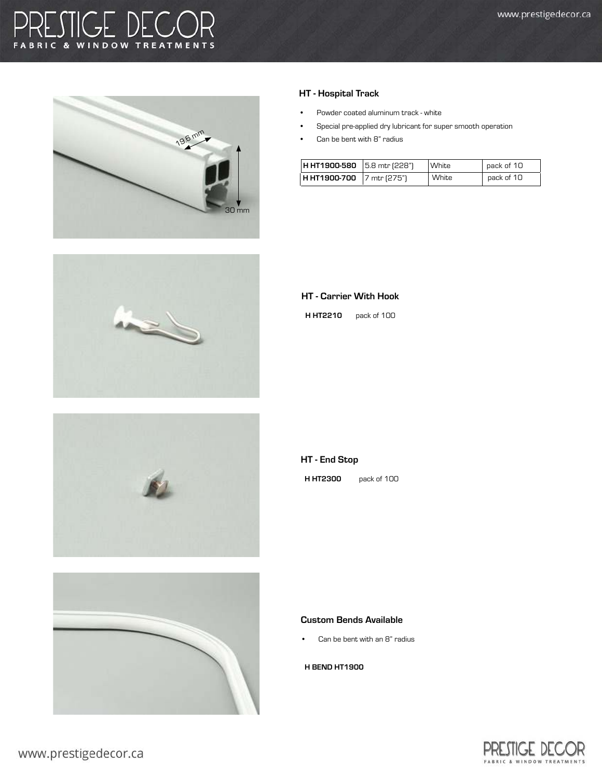### TIGE DECC **C & WINDOW TREATMENTS** F A









### HT - Hospital Track

- Powder coated aluminum track white
- Special pre-applied dry lubricant for super smooth operation
- Can be bent with 8" radius

| <b>H HT1900-580</b> 5.8 mtr (228") |               | White | pack of 10 |
|------------------------------------|---------------|-------|------------|
| H HT1900-700                       | ∣7 mtr (275") | White | pack of 10 |

#### HT - Carrier With Hook

H HT2210 pack of 100

### HT - End Stop

H HT2300 pack of 100

#### Custom Bends Available

Can be bent with an 8" radius

### H BEND HT1900

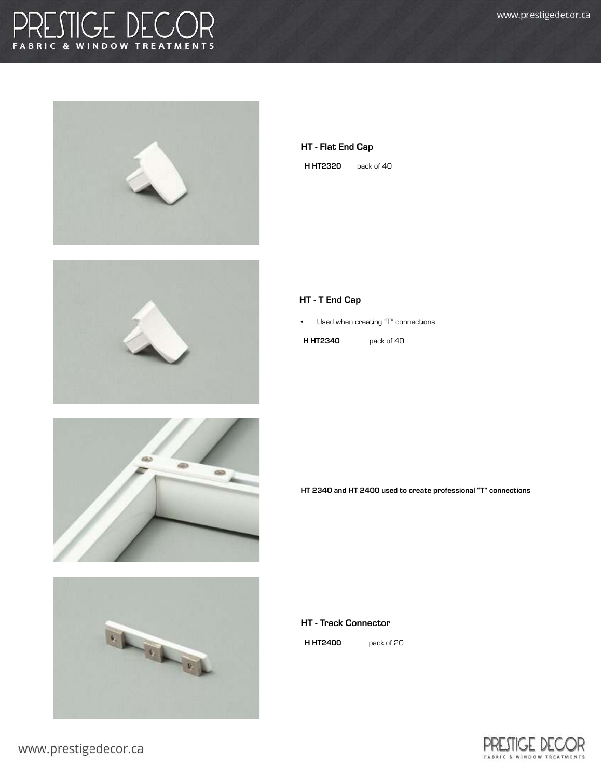### RESTIGE DECOR F A









|  |  | <b>HT - Flat End Cap</b> |  |
|--|--|--------------------------|--|
|  |  |                          |  |

**H HT2320** pack of 40

### HT - T End Cap

• Used when creating "T" connections

**H HT2340** pack of 40

HT 2340 and HT 2400 used to create professional "T" connections

HT - Track Connector

H HT2400 pack of 20

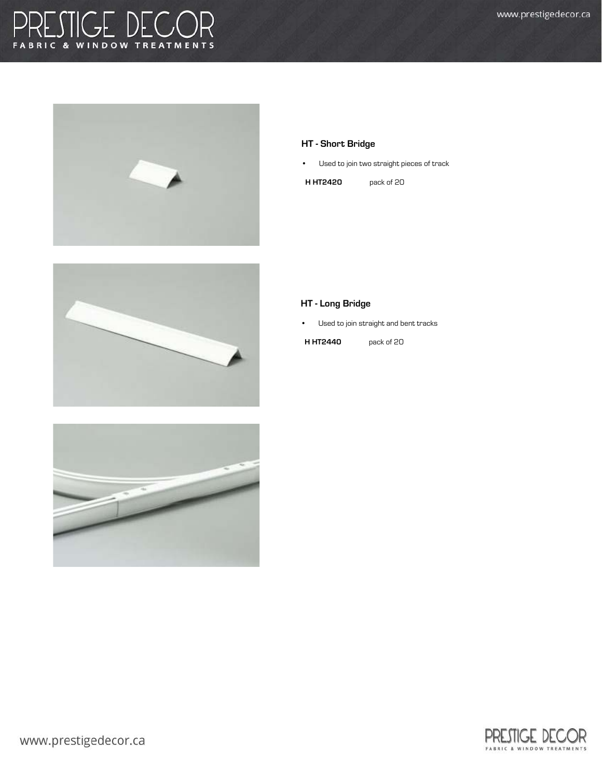# PRESTIGE DECOR







### HT - Short Bridge

• Used to join two straight pieces of track

H HT2420 pack of 20

### HT - Long Bridge

• Used to join straight and bent tracks

**H HT2440** pack of 20

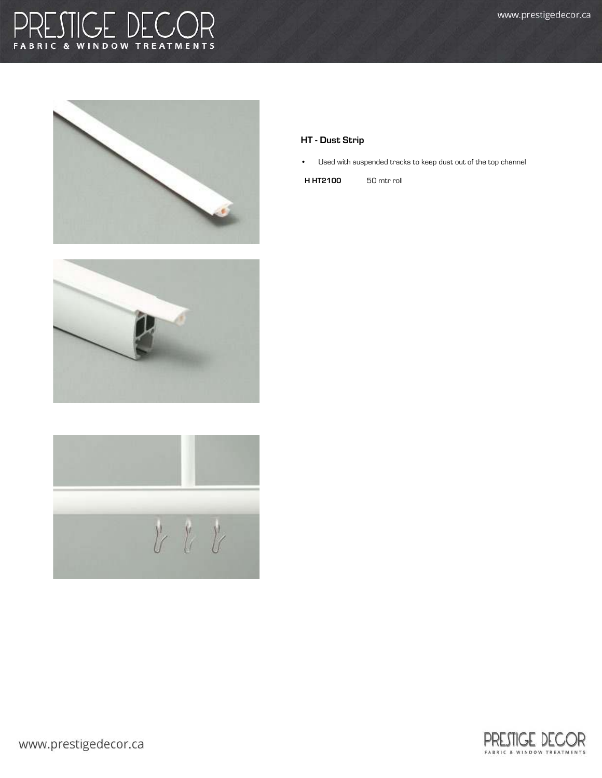## RESTIGE DECOR F A







### HT - Dust Strip

• Used with suspended tracks to keep dust out of the top channel

H HT2100 50 mtr roll

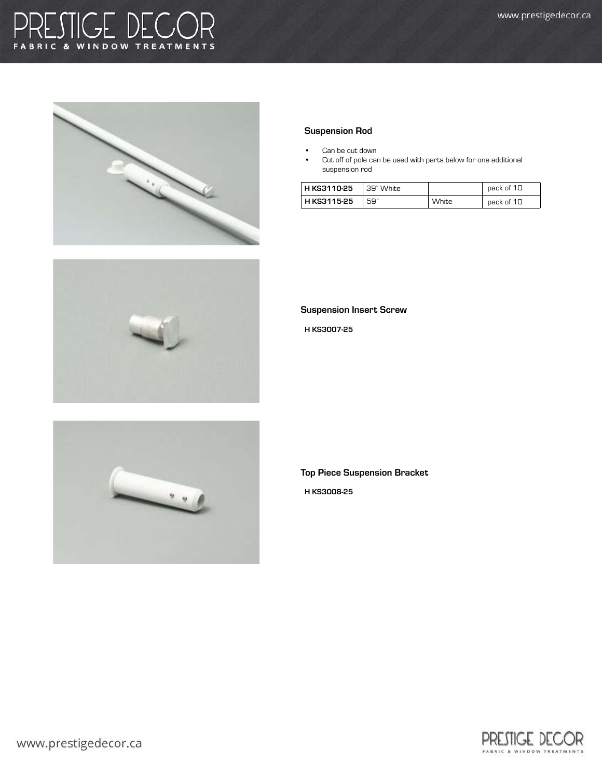### GE DECC **WINDOW TREATMENTS**







### Suspension Rod

- Can be cut down
- Cut off of pole can be used with parts below for one additional suspension rod

| H KS3110-25 | 39" White |       | pack of 10 |
|-------------|-----------|-------|------------|
| H KS3115-25 | . 59"     | White | pack of 10 |

Suspension Insert Screw

H KS3007-25

Top Piece Suspension Bracket

H KS3008-25